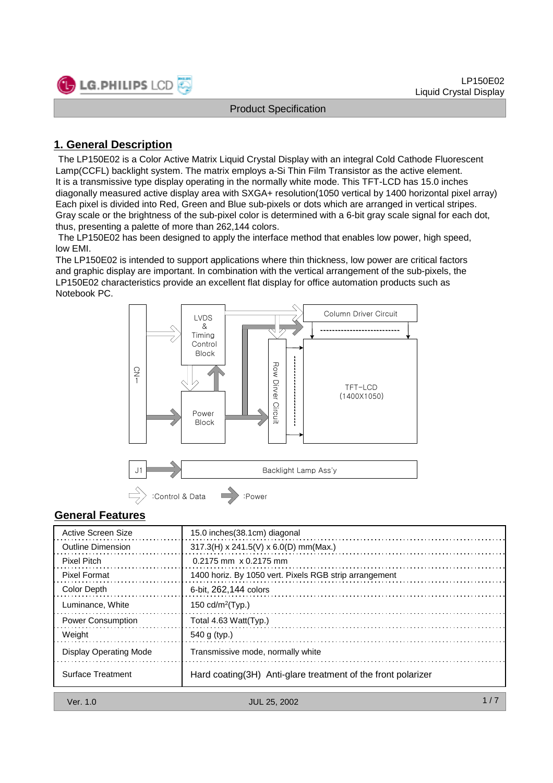

## **1. General Description**

The LP150E02 is a Color Active Matrix Liquid Crystal Display with an integral Cold Cathode Fluorescent Lamp(CCFL) backlight system. The matrix employs a-Si Thin Film Transistor as the active element. It is a transmissive type display operating in the normally white mode. This TFT-LCD has 15.0 inches diagonally measured active display area with SXGA+ resolution(1050 vertical by 1400 horizontal pixel array) Each pixel is divided into Red, Green and Blue sub-pixels or dots which are arranged in vertical stripes. Gray scale or the brightness of the sub-pixel color is determined with a 6-bit gray scale signal for each dot, thus, presenting a palette of more than 262,144 colors.

The LP150E02 has been designed to apply the interface method that enables low power, high speed, low EMI.

The LP150E02 is intended to support applications where thin thickness, low power are critical factors and graphic display are important. In combination with the vertical arrangement of the sub-pixels, the LP150E02 characteristics provide an excellent flat display for office automation products such as Notebook PC.



## **General Features**

| Active Screen Size       | 15.0 inches (38.1cm) diagonal                                 |
|--------------------------|---------------------------------------------------------------|
| <b>Outline Dimension</b> | $317.3$ (H) x 241.5(V) x 6.0(D) mm(Max.)                      |
| <b>Pixel Pitch</b>       | $0.2175$ mm $\times$ 0.2175 mm                                |
| <b>Pixel Format</b>      | 1400 horiz. By 1050 vert. Pixels RGB strip arrangement        |
| Color Depth              | 6-bit. 262.144 colors                                         |
| Luminance, White         | 150 cd/m <sup>2</sup> (Typ.)                                  |
| <b>Power Consumption</b> | Total 4.63 Watt(Typ.)                                         |
| Weight                   | 540 g (typ.)                                                  |
| Display Operating Mode   | Transmissive mode, normally white                             |
| <b>Surface Treatment</b> | Hard coating (3H) Anti-glare treatment of the front polarizer |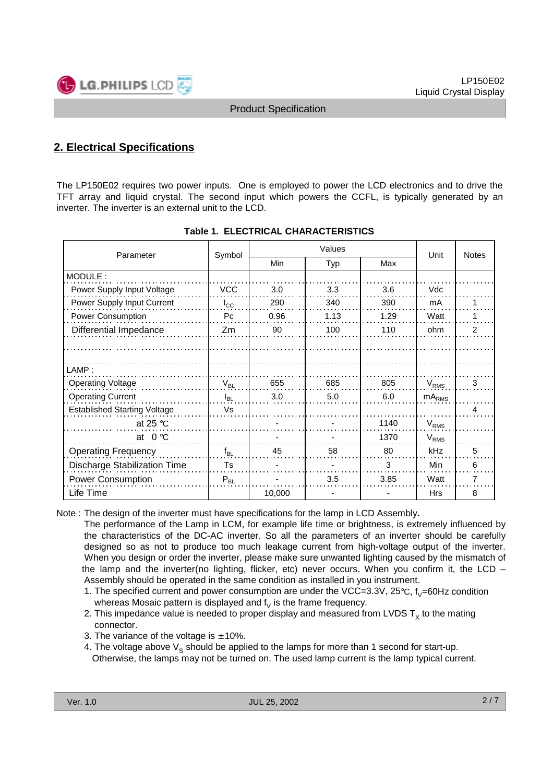

## **2. Electrical Specifications**

The LP150E02 requires two power inputs. One is employed to power the LCD electronics and to drive the TFT array and liquid crystal. The second input which powers the CCFL, is typically generated by an inverter. The inverter is an external unit to the LCD.

| Parameter                           | Symbol         | Values      |      | Unit | <b>Notes</b> |                |
|-------------------------------------|----------------|-------------|------|------|--------------|----------------|
|                                     |                | Min         | Typ  | Max  |              |                |
| MODULE:                             |                |             |      |      |              |                |
| Power Supply Input Voltage          | <b>VCC</b>     | 3.0         | 3.3  | 3.6  | Vdc          |                |
| Power Supply Input Current          | $I_{\rm CC}$   | 290         | 340  | 390  | mA           |                |
| Power Consumption                   | P <sub>C</sub> | 0.96        | 1.13 | 1.29 | Watt         |                |
| Differential Impedance              | Zm             | 90          | 100  | 110  | ohm          | $\overline{2}$ |
|                                     |                |             |      |      |              |                |
|                                     |                |             |      |      |              |                |
| LAMP:                               |                |             |      |      |              |                |
| <b>Operating Voltage</b>            | $V_{BL}$       | 655         | 685  | 805  | $V_{RMS}$    | 3              |
| <b>Operating Current</b>            | $I_{BL}$       | 3.0         | 5.0  | 6.0  | $mA_{RMS}$   |                |
| <b>Established Starting Voltage</b> | Vs             |             |      |      |              | 4              |
| at 25 $\degree$ C                   |                |             |      | 1140 | $V_{RMS}$    |                |
| at $0^{\circ}$ C                    |                |             |      | 1370 | $V_{RMS}$    |                |
| <b>Operating Frequency</b>          | $f_{BL}$       | 45          | 58   | 80   | kHz          | 5              |
| Discharge Stabilization Time        | Ts             |             |      | 3    | Min          | 6              |
| <b>Power Consumption</b>            | $P_{BL}$       | 3.5<br>3.85 |      |      | Watt         | 7              |
| Life Time                           |                | 10,000      |      |      | <b>Hrs</b>   | 8              |

|  | <b>Table 1. ELECTRICAL CHARACTERISTICS</b> |  |  |
|--|--------------------------------------------|--|--|
|--|--------------------------------------------|--|--|

Note : The design of the inverter must have specifications for the lamp in LCD Assembly**.**

The performance of the Lamp in LCM, for example life time or brightness, is extremely influenced by the characteristics of the DC-AC inverter. So all the parameters of an inverter should be carefully designed so as not to produce too much leakage current from high-voltage output of the inverter. When you design or order the inverter, please make sure unwanted lighting caused by the mismatch of the lamp and the inverter(no lighting, flicker, etc) never occurs. When you confirm it, the LCD – Assembly should be operated in the same condition as installed in you instrument.

- 1. The specified current and power consumption are under the VCC=3.3V,  $25^{\circ}$ C,  $f_{V}=60$ Hz condition whereas Mosaic pattern is displayed and  $f_{\nu}$  is the frame frequency.
- 2. This impedance value is needed to proper display and measured from LVDS  $T_x$  to the mating connector.
- 3. The variance of the voltage is  $\pm$  10%.
- 4. The voltage above  $V_s$  should be applied to the lamps for more than 1 second for start-up. Otherwise, the lamps may not be turned on. The used lamp current is the lamp typical current.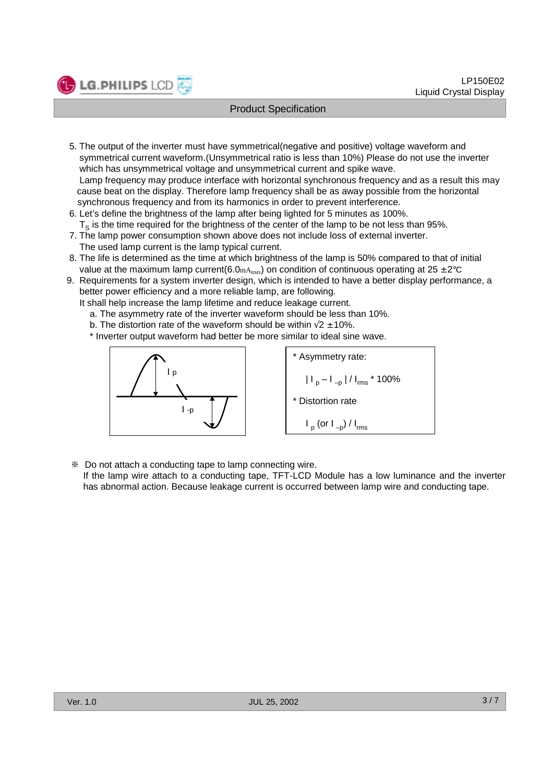

- 5. The output of the inverter must have symmetrical(negative and positive) voltage waveform and symmetrical current waveform.(Unsymmetrical ratio is less than 10%) Please do not use the inverter which has unsymmetrical voltage and unsymmetrical current and spike wave. Lamp frequency may produce interface with horizontal synchronous frequency and as a result this may cause beat on the display. Therefore lamp frequency shall be as away possible from the horizontal synchronous frequency and from its harmonics in order to prevent interference.
- 6. Let's define the brightness of the lamp after being lighted for 5 minutes as 100%.  $T<sub>s</sub>$  is the time required for the brightness of the center of the lamp to be not less than 95%.
- 7. The lamp power consumption shown above does not include loss of external inverter. The used lamp current is the lamp typical current.
- 8. The life is determined as the time at which brightness of the lamp is 50% compared to that of initial value at the maximum lamp current(6.0mA<sub>RMS</sub>) on condition of continuous operating at  $25 \pm 2^{\circ}C$
- 9. Requirements for a system inverter design, which is intended to have a better display performance, a better power efficiency and a more reliable lamp, are following.

It shall help increase the lamp lifetime and reduce leakage current.

- a. The asymmetry rate of the inverter waveform should be less than 10%.
- b. The distortion rate of the waveform should be within  $\sqrt{2} \pm 10\%$ .
- \* Inverter output waveform had better be more similar to ideal sine wave.



**LG.PHILIPS LCD** 

\* Asymmetry rate:  $|I_p - I_{-p}| / I_{rms} * 100\%$ \* Distortion rate  $I_p$  (or  $I_{-p}$ ) /  $I_{rms}$ 

Do not attach a conducting tape to lamp connecting wire.

If the lamp wire attach to a conducting tape, TFT-LCD Module has a low luminance and the inverter has abnormal action. Because leakage current is occurred between lamp wire and conducting tape.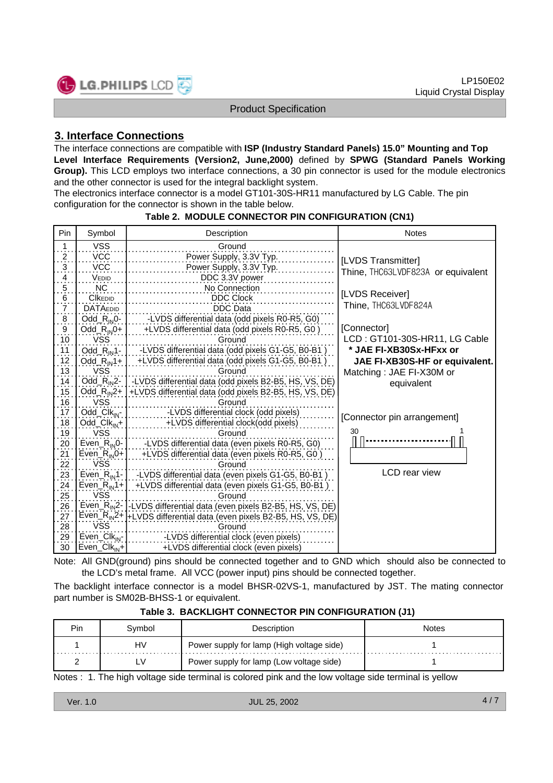

### **3. Interface Connections**

The interface connections are compatible with **ISP (Industry Standard Panels) 15.0" Mounting and Top Level Interface Requirements (Version2, June,2000)** defined by **SPWG (Standard Panels Working**  Group). This LCD employs two interface connections, a 30 pin connector is used for the module electronics and the other connector is used for the integral backlight system.

The electronics interface connector is a model GT101-30S-HR11 manufactured by LG Cable. The pin configuration for the connector is shown in the table below.

| Pin                                | Symbol                                | Description                                                                      | <b>Notes</b>                       |
|------------------------------------|---------------------------------------|----------------------------------------------------------------------------------|------------------------------------|
| 1                                  | <b>VSS</b>                            | Ground                                                                           |                                    |
| $\frac{2}{\cdot}$                  | <b>VCC</b>                            | Power Supply, 3.3V Typ.                                                          | [LVDS Transmitter]                 |
| $\ddot{\cdot}$                     | <b>VCC</b>                            | Power Supply, 3.3V Typ.                                                          | Thine, THC63LVDF823A or equivalent |
| $\overline{4}$                     | VEDID                                 | DDC 3.3V power                                                                   |                                    |
| $\overline{5}$ .                   | <b>NC</b>                             | No Connection                                                                    |                                    |
| 6                                  | <b>CIKEDID</b>                        | <b>DDC Clock</b>                                                                 | [LVDS Receiver]                    |
| $\frac{1}{7}$                      | <b>DATAEDID</b>                       | <b>DDC</b> Data                                                                  | Thine, THC63LVDF824A               |
| $\overline{8}$ .                   | $Odd_R_{IN}0$ -                       | -LVDS differential data (odd pixels R0-R5, G0)                                   |                                    |
| $\frac{9}{10}$                     | $Odd_R_{IN}0+$                        | +LVDS differential data (odd pixels R0-R5, G0)                                   | [Connector]                        |
|                                    | <b>VSS</b>                            | Ground                                                                           | LCD: GT101-30S-HR11, LG Cable      |
| 11                                 | $Odd_R_{IN}1$ -                       | -LVDS differential data (odd pixels G1-G5, B0-B1)                                | * JAE FI-XB30Sx-HFxx or            |
|                                    | $Odd$ $R_{IN}1+$                      | +LVDS differential data (odd pixels G1-G5, B0-B1)                                | JAE FI-XB30S-HF or equivalent.     |
| $\frac{12}{13}$                    | <b>VSS</b>                            | Ground                                                                           | Matching: JAE FI-X30M or           |
| 14                                 |                                       | Odd_R <sub>IN</sub> 2-   -LVDS differential data (odd pixels B2-B5, HS, VS, DE)  | equivalent                         |
| 15                                 | Odd_ $R_{IN}2+$                       | +LVDS differential data (odd pixels B2-B5, HS, VS, DE)                           |                                    |
| 16                                 | <b>VSS</b>                            | Ground                                                                           |                                    |
| 17                                 | $Odd_Clk_{IN}$                        | -LVDS differential clock (odd pixels)                                            | [Connector pin arrangement]        |
| $\frac{1}{18}$                     | $Odd$ Clk <sub>IN</sub> +             | +LVDS differential clock(odd pixels)                                             |                                    |
| $\frac{19}{20}$<br>$\frac{21}{21}$ | <b>VSS</b>                            | Ground                                                                           | 30                                 |
|                                    |                                       | Even_ $R_{1N}$ 0-   -LVDS differential data (even pixels R0-R5, G0)              |                                    |
|                                    | Even_ $R_{IN}$ 0+                     | +LVDS differential data (even pixels R0-R5, G0)                                  |                                    |
| 22                                 | <b>VSS</b>                            | Ground                                                                           |                                    |
| $\frac{23}{24}$                    | Even <sub><math>R_{IN}</math>1-</sub> | -LVDS differential data (even pixels G1-G5, B0-B1)                               | <b>LCD</b> rear view               |
|                                    | Even_R <sub>IN</sub> 1+               | +LVDS differential data (even pixels G1-G5, B0-B1)                               |                                    |
| 25                                 | <b>VSS</b>                            | Ground                                                                           |                                    |
| 26                                 |                                       | Even_R <sub>IN</sub> 2-1-LVDS differential data (even pixels B2-B5, HS, VS, DE)  |                                    |
| 27                                 |                                       | Even_R <sub>IN</sub> 2+  +LVDS differential data (even pixels B2-B5, HS, VS, DE) |                                    |
| 28                                 | <b>VSS</b>                            | Ground                                                                           |                                    |
| 29                                 | $Even_Clk_{IN}$ -                     | -LVDS differential clock (even pixels)                                           |                                    |
| 30                                 | $Even_Clk_{IN}+$                      | +LVDS differential clock (even pixels)                                           |                                    |

#### **Table 2. MODULE CONNECTOR PIN CONFIGURATION (CN1)**

Note: All GND(ground) pins should be connected together and to GND which should also be connected to the LCD's metal frame. All VCC (power input) pins should be connected together.

The backlight interface connector is a model BHSR-02VS-1, manufactured by JST. The mating connector part number is SM02B-BHSS-1 or equivalent.

|  |  |  | Table 3. BACKLIGHT CONNECTOR PIN CONFIGURATION (J1) |
|--|--|--|-----------------------------------------------------|
|--|--|--|-----------------------------------------------------|

| Pin | Svmbol        | Description                               | Notes |
|-----|---------------|-------------------------------------------|-------|
| .   | HV            | Power supply for lamp (High voltage side) |       |
|     | $\mathcal{N}$ | Power supply for lamp (Low voltage side)  |       |

Notes : 1. The high voltage side terminal is colored pink and the low voltage side terminal is yellow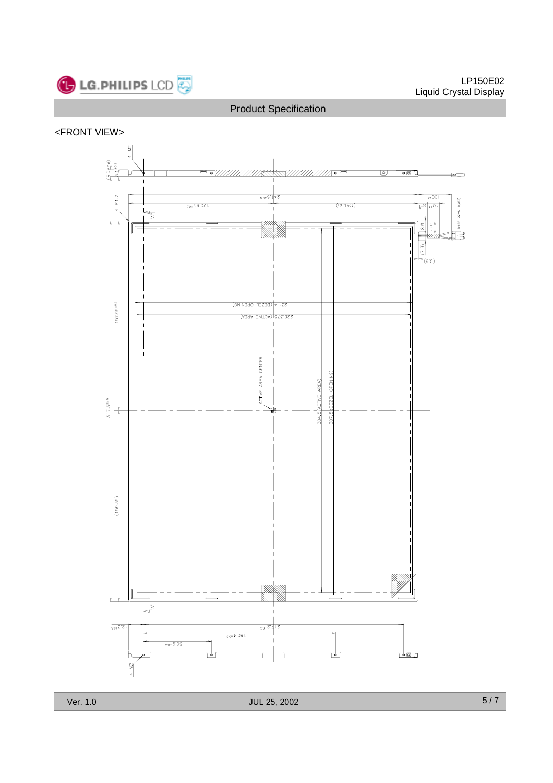

#### <FRONT VIEW>

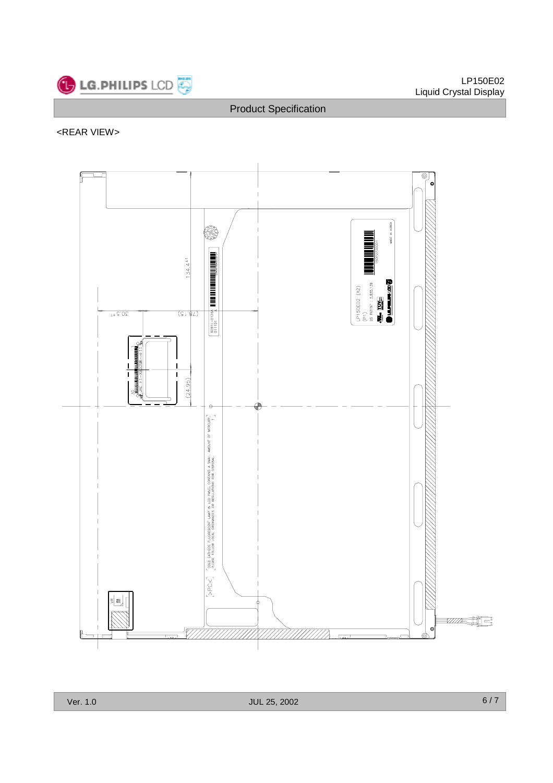

## <REAR VIEW>